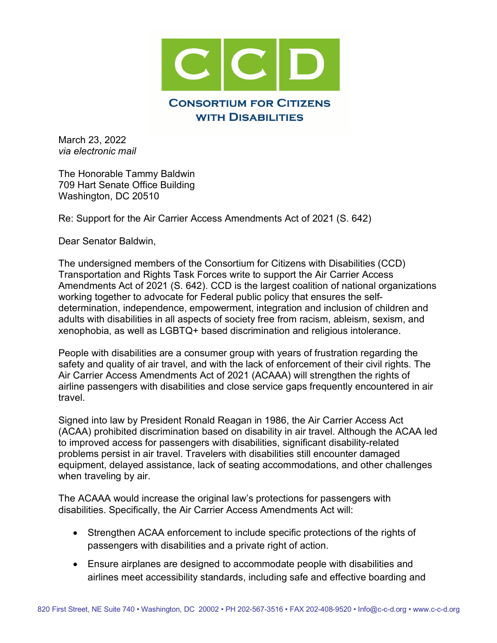

March 23, 2022 *via electronic mail*

The Honorable Tammy Baldwin 709 Hart Senate Office Building Washington, DC 20510

Re: Support for the Air Carrier Access Amendments Act of 2021 (S. 642)

Dear Senator Baldwin,

The undersigned members of the Consortium for Citizens with Disabilities (CCD) Transportation and Rights Task Forces write to support the Air Carrier Access Amendments Act of 2021 (S. 642). CCD is the largest coalition of national organizations working together to advocate for Federal public policy that ensures the selfdetermination, independence, empowerment, integration and inclusion of children and adults with disabilities in all aspects of society free from racism, ableism, sexism, and xenophobia, as well as LGBTQ+ based discrimination and religious intolerance.

People with disabilities are a consumer group with years of frustration regarding the safety and quality of air travel, and with the lack of enforcement of their civil rights. The Air Carrier Access Amendments Act of 2021 (ACAAA) will strengthen the rights of airline passengers with disabilities and close service gaps frequently encountered in air travel.

Signed into law by President Ronald Reagan in 1986, the Air Carrier Access Act (ACAA) prohibited discrimination based on disability in air travel. Although the ACAA led to improved access for passengers with disabilities, significant disability-related problems persist in air travel. Travelers with disabilities still encounter damaged equipment, delayed assistance, lack of seating accommodations, and other challenges when traveling by air.

The ACAAA would increase the original law's protections for passengers with disabilities. Specifically, the Air Carrier Access Amendments Act will:

- Strengthen ACAA enforcement to include specific protections of the rights of passengers with disabilities and a private right of action.
- Ensure airplanes are designed to accommodate people with disabilities and airlines meet accessibility standards, including safe and effective boarding and